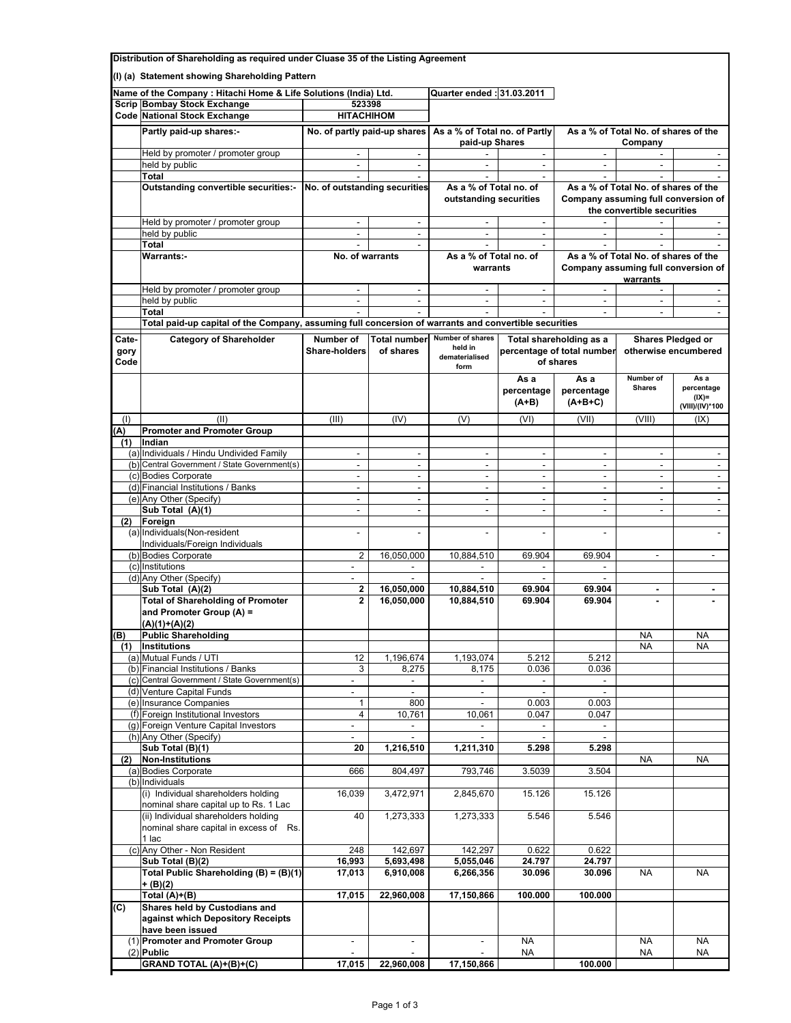| Distribution of Shareholding as required under Cluase 35 of the Listing Agreement |                                                                                                       |                                                                  |                                    |                                                 |                                                                    |                                                 |                                                      |                                                   |  |
|-----------------------------------------------------------------------------------|-------------------------------------------------------------------------------------------------------|------------------------------------------------------------------|------------------------------------|-------------------------------------------------|--------------------------------------------------------------------|-------------------------------------------------|------------------------------------------------------|---------------------------------------------------|--|
| (I) (a) Statement showing Shareholding Pattern                                    |                                                                                                       |                                                                  |                                    |                                                 |                                                                    |                                                 |                                                      |                                                   |  |
|                                                                                   |                                                                                                       | Name of the Company : Hitachi Home & Life Solutions (India) Ltd. |                                    |                                                 | 2011.03.2011 Quarter ended                                         |                                                 |                                                      |                                                   |  |
|                                                                                   | <b>Scrip Bombay Stock Exchange</b>                                                                    | 523398                                                           |                                    |                                                 |                                                                    |                                                 |                                                      |                                                   |  |
|                                                                                   | <b>Code National Stock Exchange</b>                                                                   | <b>HITACHIHOM</b>                                                |                                    |                                                 |                                                                    |                                                 |                                                      |                                                   |  |
|                                                                                   | Partly paid-up shares:-                                                                               | No. of partly paid-up shares                                     |                                    | As a % of Total no. of Partly<br>paid-up Shares |                                                                    | As a % of Total No. of shares of the<br>Company |                                                      |                                                   |  |
|                                                                                   | Held by promoter / promoter group                                                                     |                                                                  | $\mathbf{r}$                       |                                                 | $\overline{\phantom{a}}$                                           | ÷                                               |                                                      |                                                   |  |
|                                                                                   | held by public<br><b>Total</b>                                                                        | $\sim$                                                           | $\mathbf{r}$                       | $\overline{a}$                                  | $\sim$                                                             | $\overline{a}$                                  | $\overline{a}$                                       | $\sim$                                            |  |
|                                                                                   | Outstanding convertible securities:- No. of outstanding securities                                    |                                                                  |                                    | As a % of Total no. of                          |                                                                    |                                                 | As a % of Total No. of shares of the                 |                                                   |  |
|                                                                                   |                                                                                                       |                                                                  |                                    | outstanding securities                          |                                                                    | Company assuming full conversion of             |                                                      |                                                   |  |
|                                                                                   |                                                                                                       |                                                                  |                                    |                                                 |                                                                    |                                                 | the convertible securities                           |                                                   |  |
|                                                                                   | Held by promoter / promoter group<br>held by public                                                   | $\overline{\phantom{a}}$                                         | $\sim$<br>$\blacksquare$           | $\overline{\phantom{a}}$                        | $\overline{\phantom{a}}$<br>$\overline{\phantom{a}}$               | $\overline{\phantom{a}}$                        | $\overline{\phantom{a}}$                             | $\overline{\phantom{a}}$                          |  |
|                                                                                   | Total                                                                                                 | $\sim$                                                           | $\sim$                             |                                                 |                                                                    |                                                 |                                                      |                                                   |  |
|                                                                                   | <b>Warrants:-</b>                                                                                     | No. of warrants                                                  |                                    | As a % of Total no. of                          |                                                                    |                                                 | As a % of Total No. of shares of the                 |                                                   |  |
|                                                                                   |                                                                                                       |                                                                  |                                    | warrants                                        |                                                                    | Company assuming full conversion of<br>warrants |                                                      |                                                   |  |
|                                                                                   | Held by promoter / promoter group                                                                     | $\overline{a}$                                                   | $\mathcal{L}_{\mathcal{A}}$        | ÷.                                              | $\sim$                                                             |                                                 |                                                      |                                                   |  |
|                                                                                   | held by public<br><b>Total</b>                                                                        | $\overline{\phantom{a}}$                                         | $\mathcal{L}_{\mathcal{A}}$        | $\overline{a}$                                  | $\sim$                                                             | $\overline{a}$<br>L.                            | $\overline{\phantom{a}}$<br>÷                        | $\sim$<br>$\mathcal{L}_{\mathcal{A}}$             |  |
|                                                                                   | Total paid-up capital of the Company, assuming full concersion of warrants and convertible securities |                                                                  |                                    |                                                 |                                                                    |                                                 |                                                      |                                                   |  |
| Cate-                                                                             | <b>Category of Shareholder</b>                                                                        | Number of                                                        | <b>Total number</b>                | Number of shares                                |                                                                    |                                                 |                                                      | <b>Shares Pledged or</b>                          |  |
| gory<br>Code                                                                      |                                                                                                       | <b>Share-holders</b>                                             | of shares                          | held in<br>dematerialised<br>form               | Total shareholding as a<br>percentage of total number<br>of shares |                                                 |                                                      | otherwise encumbered                              |  |
|                                                                                   |                                                                                                       |                                                                  |                                    |                                                 | As a<br>percentage<br>$(A+B)$                                      | As a<br>percentage<br>$(A+B+C)$                 | Number of<br><b>Shares</b>                           | As a<br>percentage<br>$(IX)$ =<br>(VIII)/(IV)*100 |  |
| (1)                                                                               | (II)                                                                                                  | (III)                                                            | (IV)                               | (V)                                             | (VI)                                                               | (VII)                                           | (VIII)                                               | (IX)                                              |  |
| (A)                                                                               | <b>Promoter and Promoter Group</b>                                                                    |                                                                  |                                    |                                                 |                                                                    |                                                 |                                                      |                                                   |  |
| (1)                                                                               | Indian                                                                                                |                                                                  |                                    |                                                 |                                                                    |                                                 |                                                      |                                                   |  |
|                                                                                   | (a) Individuals / Hindu Undivided Family<br>(b) Central Government / State Government(s)              | $\sim$<br>$\overline{\phantom{a}}$                               | $\sim$<br>$\overline{\phantom{a}}$ | ٠<br>$\overline{\phantom{a}}$                   | $\overline{\phantom{a}}$                                           | $\overline{\phantom{a}}$<br>$\overline{a}$      | $\overline{\phantom{a}}$                             | $\overline{\phantom{a}}$                          |  |
|                                                                                   | (c) Bodies Corporate                                                                                  |                                                                  | $\overline{\phantom{a}}$           | $\overline{\phantom{a}}$                        | $\overline{\phantom{a}}$<br>$\overline{\phantom{a}}$               | $\overline{\phantom{a}}$                        | $\overline{\phantom{a}}$<br>$\overline{\phantom{a}}$ | $\overline{\phantom{a}}$                          |  |
|                                                                                   | (d) Financial Institutions / Banks                                                                    | $\frac{1}{2}$                                                    | $\overline{\phantom{a}}$           |                                                 | $\overline{a}$                                                     |                                                 |                                                      | $\overline{\phantom{a}}$                          |  |
|                                                                                   | (e) Any Other (Specify)                                                                               | $\overline{\phantom{a}}$                                         | $\mathcal{L}_{\mathcal{A}}$        | $\overline{\phantom{a}}$                        | $\overline{\phantom{a}}$                                           | $\overline{\phantom{a}}$                        | $\overline{\phantom{a}}$                             | $\blacksquare$                                    |  |
|                                                                                   | Sub Total (A)(1)                                                                                      | $\mathbf{r}$                                                     | $\mathcal{L}^{\mathcal{A}}$        | $\overline{a}$                                  | $\mathcal{L}$                                                      | ÷                                               | $\overline{\phantom{a}}$                             | $\mathcal{L}$                                     |  |
| (2)                                                                               | Foreign<br>(a) Individuals (Non-resident                                                              | $\overline{\phantom{a}}$                                         | $\sim$                             |                                                 | L,                                                                 | $\overline{a}$                                  |                                                      | $\overline{a}$                                    |  |
|                                                                                   | Individuals/Foreign Individuals                                                                       |                                                                  |                                    |                                                 |                                                                    |                                                 |                                                      |                                                   |  |
|                                                                                   | (b) Bodies Corporate                                                                                  | $\overline{2}$                                                   | 16,050,000                         | 10,884,510                                      | 69.904                                                             | 69.904                                          | $\overline{\phantom{a}}$                             | $\overline{\phantom{a}}$                          |  |
|                                                                                   | (c) Institutions                                                                                      | $\overline{\phantom{a}}$                                         | $\overline{\phantom{a}}$           |                                                 | $\overline{\phantom{a}}$                                           |                                                 |                                                      |                                                   |  |
|                                                                                   | (d) Any Other (Specify)<br>Sub Total (A)(2)                                                           | $\overline{\phantom{a}}$<br>2                                    | 16,050,000                         | 10,884,510                                      | $\sim$<br>69.904                                                   | 69.904                                          | ٠                                                    | $\blacksquare$                                    |  |
|                                                                                   | <b>Total of Shareholding of Promoter</b>                                                              | $\mathbf{2}$                                                     | 16,050,000                         | 10,884,510                                      | 69.904                                                             | 69.904                                          |                                                      |                                                   |  |
|                                                                                   | and Promoter Group (A) =<br>$(A)(1)+(A)(2)$                                                           |                                                                  |                                    |                                                 |                                                                    |                                                 |                                                      |                                                   |  |
| (B)                                                                               | <b>Public Shareholding</b>                                                                            |                                                                  |                                    |                                                 |                                                                    |                                                 | NA                                                   | NA                                                |  |
| (1)                                                                               | Institutions                                                                                          |                                                                  |                                    |                                                 |                                                                    |                                                 | <b>NA</b>                                            | <b>NA</b>                                         |  |
|                                                                                   | (a) Mutual Funds / UTI<br>(b) Financial Institutions / Banks                                          | 12<br>3                                                          | 1,196,674<br>8,275                 | 1,193,074<br>8,175                              | 5.212<br>0.036                                                     | 5.212<br>0.036                                  |                                                      |                                                   |  |
|                                                                                   | (c) Central Government / State Government(s)                                                          | $\overline{\phantom{a}}$                                         | $\overline{\phantom{a}}$           | $\overline{\phantom{a}}$                        |                                                                    |                                                 |                                                      |                                                   |  |
|                                                                                   | (d) Venture Capital Funds                                                                             | $\overline{\phantom{a}}$                                         |                                    | $\overline{\phantom{a}}$                        |                                                                    |                                                 |                                                      |                                                   |  |
|                                                                                   | (e) Insurance Companies                                                                               | $\mathbf{1}$                                                     | 800                                |                                                 | 0.003                                                              | 0.003                                           |                                                      |                                                   |  |
|                                                                                   | (f) Foreign Institutional Investors<br>(g) Foreign Venture Capital Investors                          | $\overline{4}$<br>$\overline{\phantom{a}}$                       | 10,761<br>$\overline{\phantom{a}}$ | 10,061<br>$\overline{\phantom{a}}$              | 0.047<br>$\overline{\phantom{a}}$                                  | 0.047<br>$\overline{\phantom{a}}$               |                                                      |                                                   |  |
|                                                                                   | (h) Any Other (Specify)                                                                               | $\overline{\phantom{a}}$                                         | $\overline{\phantom{a}}$           | $\overline{\phantom{a}}$                        | $\omega$                                                           | $\overline{\phantom{a}}$                        |                                                      |                                                   |  |
|                                                                                   | Sub Total (B)(1)                                                                                      | 20                                                               | 1,216,510                          | 1,211,310                                       | 5.298                                                              | 5.298                                           |                                                      |                                                   |  |
| (2)                                                                               | <b>Non-Institutions</b>                                                                               |                                                                  |                                    |                                                 |                                                                    |                                                 | <b>NA</b>                                            | <b>NA</b>                                         |  |
|                                                                                   | (a) Bodies Corporate<br>(b) Individuals                                                               | 666                                                              | 804,497                            | 793,746                                         | 3.5039                                                             | 3.504                                           |                                                      |                                                   |  |
|                                                                                   | (i) Individual shareholders holding<br>nominal share capital up to Rs. 1 Lac                          | 16,039                                                           | 3,472,971                          | 2,845,670                                       | 15.126                                                             | 15.126                                          |                                                      |                                                   |  |
|                                                                                   | (ii) Individual shareholders holding<br>nominal share capital in excess of Rs.<br>1 lac               | 40                                                               | 1,273,333                          | 1,273,333                                       | 5.546                                                              | 5.546                                           |                                                      |                                                   |  |
|                                                                                   | (c) Any Other - Non Resident                                                                          | 248                                                              | 142,697                            | 142,297                                         | 0.622                                                              | 0.622                                           |                                                      |                                                   |  |
|                                                                                   | Sub Total (B)(2)                                                                                      | 16,993                                                           | 5,693,498                          | 5,055,046                                       | 24.797                                                             | 24.797                                          |                                                      |                                                   |  |
|                                                                                   | Total Public Shareholding (B) = (B)(1)<br>$+(B)(2)$                                                   | 17,013                                                           | 6,910,008                          | 6,266,356                                       | 30.096                                                             | 30.096                                          | <b>NA</b>                                            | <b>NA</b>                                         |  |
|                                                                                   | Total (A)+(B)                                                                                         | 17,015                                                           | $\overline{22,960,008}$            | 17,150,866                                      | 100.000                                                            | 100.000                                         |                                                      |                                                   |  |
| (C)                                                                               | Shares held by Custodians and<br>against which Depository Receipts<br>have been issued                |                                                                  |                                    |                                                 |                                                                    |                                                 |                                                      |                                                   |  |
|                                                                                   | (1) Promoter and Promoter Group                                                                       | $\overline{\phantom{a}}$                                         | $\overline{\phantom{a}}$           |                                                 | <b>NA</b>                                                          |                                                 | <b>NA</b>                                            | <b>NA</b>                                         |  |
|                                                                                   | $(2)$ Public                                                                                          |                                                                  |                                    |                                                 | NA.                                                                |                                                 | NA                                                   | NA                                                |  |
|                                                                                   | GRAND TOTAL (A)+(B)+(C)                                                                               | 17,015                                                           | 22,960,008                         | 17,150,866                                      |                                                                    | 100.000                                         |                                                      |                                                   |  |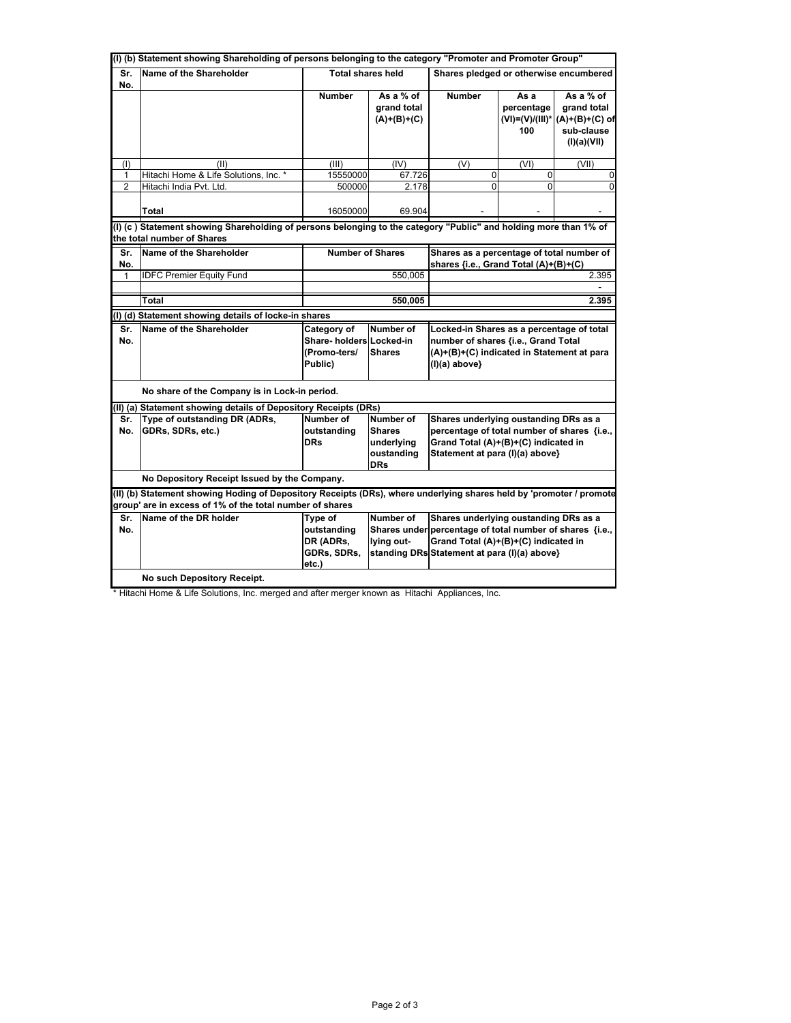| (I) (b) Statement showing Shareholding of persons belonging to the category "Promoter and Promoter Group"        |                                                                                                                                                                                 |                                                                                                                                                                                                                                                     |                                                         |                                                                                                                                                                                           |                                                   |                                                                           |  |  |
|------------------------------------------------------------------------------------------------------------------|---------------------------------------------------------------------------------------------------------------------------------------------------------------------------------|-----------------------------------------------------------------------------------------------------------------------------------------------------------------------------------------------------------------------------------------------------|---------------------------------------------------------|-------------------------------------------------------------------------------------------------------------------------------------------------------------------------------------------|---------------------------------------------------|---------------------------------------------------------------------------|--|--|
| Sr.<br>No.                                                                                                       | Name of the Shareholder                                                                                                                                                         | <b>Total shares held</b>                                                                                                                                                                                                                            |                                                         | Shares pledged or otherwise encumbered                                                                                                                                                    |                                                   |                                                                           |  |  |
|                                                                                                                  |                                                                                                                                                                                 | <b>Number</b>                                                                                                                                                                                                                                       | As a % of<br>grand total<br>$(A)+(B)+(C)$               | <b>Number</b>                                                                                                                                                                             | As a<br>percentage<br>$(VI) = (V)/(III)^*$<br>100 | As a % of<br>grand total<br>$(A)+(B)+(C)$ of<br>sub-clause<br>(I)(a)(VII) |  |  |
| (1)                                                                                                              | (II)                                                                                                                                                                            | (III)                                                                                                                                                                                                                                               | (IV)                                                    | (V)                                                                                                                                                                                       | (VI)                                              | (VII)                                                                     |  |  |
| 1                                                                                                                | Hitachi Home & Life Solutions, Inc. *                                                                                                                                           | 15550000                                                                                                                                                                                                                                            | 67.726                                                  | 0                                                                                                                                                                                         | $\mathbf 0$                                       | 0                                                                         |  |  |
| $\overline{2}$                                                                                                   | Hitachi India Pvt. Ltd.                                                                                                                                                         | 500000                                                                                                                                                                                                                                              | 2.178                                                   | 0                                                                                                                                                                                         | $\Omega$                                          | $\Omega$                                                                  |  |  |
|                                                                                                                  | Total                                                                                                                                                                           | 16050000                                                                                                                                                                                                                                            | 69.904                                                  |                                                                                                                                                                                           |                                                   |                                                                           |  |  |
| (I) (c) Statement showing Shareholding of persons belonging to the category "Public" and holding more than 1% of |                                                                                                                                                                                 |                                                                                                                                                                                                                                                     |                                                         |                                                                                                                                                                                           |                                                   |                                                                           |  |  |
| the total number of Shares                                                                                       |                                                                                                                                                                                 |                                                                                                                                                                                                                                                     |                                                         |                                                                                                                                                                                           |                                                   |                                                                           |  |  |
| Sr.<br>No.                                                                                                       | Name of the Shareholder                                                                                                                                                         | <b>Number of Shares</b>                                                                                                                                                                                                                             |                                                         | Shares as a percentage of total number of<br>shares {i.e., Grand Total (A)+(B)+(C)                                                                                                        |                                                   |                                                                           |  |  |
| $\mathbf{1}$                                                                                                     | <b>IDFC Premier Equity Fund</b>                                                                                                                                                 |                                                                                                                                                                                                                                                     | 550,005                                                 | 2.395                                                                                                                                                                                     |                                                   |                                                                           |  |  |
|                                                                                                                  |                                                                                                                                                                                 |                                                                                                                                                                                                                                                     |                                                         |                                                                                                                                                                                           |                                                   |                                                                           |  |  |
|                                                                                                                  | <b>Total</b>                                                                                                                                                                    |                                                                                                                                                                                                                                                     | 550,005                                                 |                                                                                                                                                                                           |                                                   | 2.395                                                                     |  |  |
|                                                                                                                  | (I) (d) Statement showing details of locke-in shares                                                                                                                            |                                                                                                                                                                                                                                                     |                                                         |                                                                                                                                                                                           |                                                   |                                                                           |  |  |
| Sr.<br>No.                                                                                                       | Name of the Shareholder                                                                                                                                                         | Number of<br>Category of<br>Locked-in Shares as a percentage of total<br>Share- holders Locked-in<br>number of shares {i.e., Grand Total<br>(Promo-ters/<br><b>Shares</b><br>(A)+(B)+(C) indicated in Statement at para<br>Public)<br>(I)(a) above} |                                                         |                                                                                                                                                                                           |                                                   |                                                                           |  |  |
|                                                                                                                  | No share of the Company is in Lock-in period.                                                                                                                                   |                                                                                                                                                                                                                                                     |                                                         |                                                                                                                                                                                           |                                                   |                                                                           |  |  |
|                                                                                                                  | (II) (a) Statement showing details of Depository Receipts (DRs)                                                                                                                 |                                                                                                                                                                                                                                                     |                                                         |                                                                                                                                                                                           |                                                   |                                                                           |  |  |
| Sr.                                                                                                              | Type of outstanding DR (ADRs,                                                                                                                                                   | Number of                                                                                                                                                                                                                                           | Number of                                               | Shares underlying oustanding DRs as a<br>percentage of total number of shares {i.e.,                                                                                                      |                                                   |                                                                           |  |  |
| No.                                                                                                              | GDRs, SDRs, etc.)                                                                                                                                                               | outstanding<br><b>DRs</b>                                                                                                                                                                                                                           | <b>Shares</b><br>underlying<br>oustanding<br><b>DRs</b> | Grand Total (A)+(B)+(C) indicated in<br>Statement at para (I)(a) above}                                                                                                                   |                                                   |                                                                           |  |  |
|                                                                                                                  | No Depository Receipt Issued by the Company.                                                                                                                                    |                                                                                                                                                                                                                                                     |                                                         |                                                                                                                                                                                           |                                                   |                                                                           |  |  |
|                                                                                                                  | (II) (b) Statement showing Hoding of Depository Receipts (DRs), where underlying shares held by 'promoter / promote<br>group' are in excess of 1% of the total number of shares |                                                                                                                                                                                                                                                     |                                                         |                                                                                                                                                                                           |                                                   |                                                                           |  |  |
| Sr.<br>No.                                                                                                       | Name of the DR holder                                                                                                                                                           | Type of<br>outstanding<br>DR (ADRs,<br>GDRs, SDRs,<br>etc.)                                                                                                                                                                                         | Number of<br>lying out-                                 | Shares underlying oustanding DRs as a<br>Shares under percentage of total number of shares {i.e.,<br>Grand Total (A)+(B)+(C) indicated in<br>standing DRs Statement at para (I)(a) above} |                                                   |                                                                           |  |  |
|                                                                                                                  | No such Depository Receipt.                                                                                                                                                     |                                                                                                                                                                                                                                                     |                                                         |                                                                                                                                                                                           |                                                   |                                                                           |  |  |

\* Hitachi Home & Life Solutions, Inc. merged and after merger known as Hitachi Appliances, Inc.